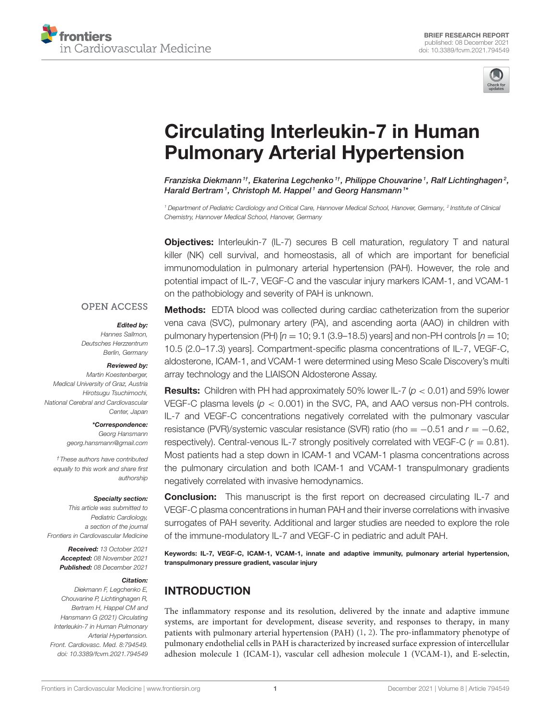



# Circulating Interleukin-7 in Human Pulmonary Arterial Hypertension

Franziska Diekmann $^{\textit{1} \dagger}$ , Ekaterina Legchenko $^{\textit{1} \dagger}$ , Philippe Chouvarine $^{\textit{1}}$ , Ralf Lichtinghagen $^{\textit{2}}$ , Harald Bertram<sup>1</sup>, Christoph M. Happel<sup>1</sup> and Georg Hansmann<sup>1</sup>\*

*<sup>1</sup> Department of Pediatric Cardiology and Critical Care, Hannover Medical School, Hanover, Germany, <sup>2</sup> Institute of Clinical Chemistry, Hannover Medical School, Hanover, Germany*

**Objectives:** Interleukin-7 (IL-7) secures B cell maturation, regulatory T and natural killer (NK) cell survival, and homeostasis, all of which are important for beneficial immunomodulation in pulmonary arterial hypertension (PAH). However, the role and potential impact of IL-7, VEGF-C and the vascular injury markers ICAM-1, and VCAM-1 on the pathobiology and severity of PAH is unknown.

### **OPEN ACCESS**

#### Edited by:

*Hannes Sallmon, Deutsches Herzzentrum Berlin, Germany*

#### Reviewed by:

*Martin Koestenberger, Medical University of Graz, Austria Hirotsugu Tsuchimochi, National Cerebral and Cardiovascular Center, Japan*

#### \*Correspondence:

*Georg Hansmann georg.hansmann@gmail.com*

*†These authors have contributed equally to this work and share first authorship*

#### Specialty section:

*This article was submitted to Pediatric Cardiology, a section of the journal Frontiers in Cardiovascular Medicine*

> Received: *13 October 2021* Accepted: *08 November 2021* Published: *08 December 2021*

#### Citation:

*Diekmann F, Legchenko E, Chouvarine P, Lichtinghagen R, Bertram H, Happel CM and Hansmann G (2021) Circulating Interleukin-7 in Human Pulmonary Arterial Hypertension. Front. Cardiovasc. Med. 8:794549. doi: 10.3389/fcvm.2021.794549*

Methods: EDTA blood was collected during cardiac catheterization from the superior vena cava (SVC), pulmonary artery (PA), and ascending aorta (AAO) in children with pulmonary hypertension (PH)  $[n = 10; 9.1 (3.9-18.5)$  years] and non-PH controls  $[n = 10;$ 10.5 (2.0–17.3) years]. Compartment-specific plasma concentrations of IL-7, VEGF-C, aldosterone, ICAM-1, and VCAM-1 were determined using Meso Scale Discovery's multi array technology and the LIAISON Aldosterone Assay.

Results: Children with PH had approximately 50% lower IL-7 (*p* < 0.01) and 59% lower VEGF-C plasma levels (*p* < 0.001) in the SVC, PA, and AAO versus non-PH controls. IL-7 and VEGF-C concentrations negatively correlated with the pulmonary vascular resistance (PVR)/systemic vascular resistance (SVR) ratio (rho = −0.51 and *r* = −0.62, respectively). Central-venous IL-7 strongly positively correlated with VEGF-C (*r* = 0.81). Most patients had a step down in ICAM-1 and VCAM-1 plasma concentrations across the pulmonary circulation and both ICAM-1 and VCAM-1 transpulmonary gradients negatively correlated with invasive hemodynamics.

**Conclusion:** This manuscript is the first report on decreased circulating IL-7 and VEGF-C plasma concentrations in human PAH and their inverse correlations with invasive surrogates of PAH severity. Additional and larger studies are needed to explore the role of the immune-modulatory IL-7 and VEGF-C in pediatric and adult PAH.

Keywords: IL-7, VEGF-C, ICAM-1, VCAM-1, innate and adaptive immunity, pulmonary arterial hypertension, transpulmonary pressure gradient, vascular injury

# INTRODUCTION

The inflammatory response and its resolution, delivered by the innate and adaptive immune systems, are important for development, disease severity, and responses to therapy, in many patients with pulmonary arterial hypertension (PAH) (1, 2). The pro-inflammatory phenotype of pulmonary endothelial cells in PAH is characterized by increased surface expression of intercellular adhesion molecule 1 (ICAM-1), vascular cell adhesion molecule 1 (VCAM-1), and E-selectin,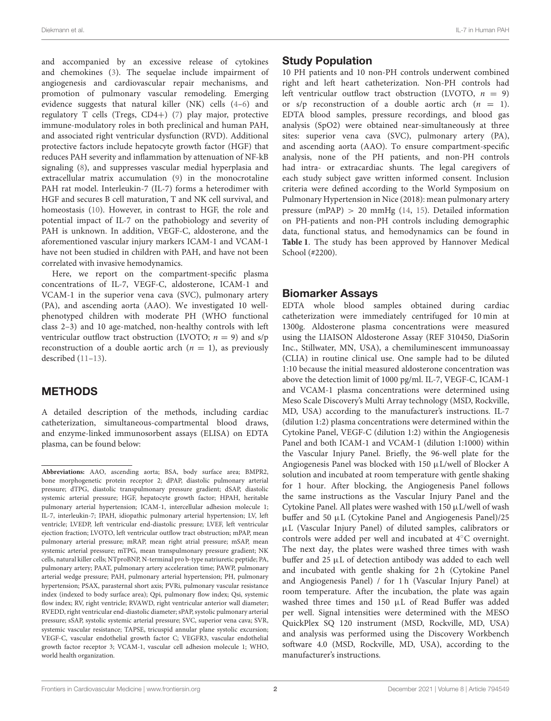Diekmann et al. IL-7 in Human PAH

and accompanied by an excessive release of cytokines and chemokines (3). The sequelae include impairment of angiogenesis and cardiovascular repair mechanisms, and promotion of pulmonary vascular remodeling. Emerging evidence suggests that natural killer (NK) cells (4–6) and regulatory T cells (Tregs, CD4+) (7) play major, protective immune-modulatory roles in both preclinical and human PAH, and associated right ventricular dysfunction (RVD). Additional protective factors include hepatocyte growth factor (HGF) that reduces PAH severity and inflammation by attenuation of NF-kB signaling (8), and suppresses vascular medial hyperplasia and extracellular matrix accumulation (9) in the monocrotaline PAH rat model. Interleukin-7 (IL-7) forms a heterodimer with HGF and secures B cell maturation, T and NK cell survival, and homeostasis (10). However, in contrast to HGF, the role and potential impact of IL-7 on the pathobiology and severity of PAH is unknown. In addition, VEGF-C, aldosterone, and the aforementioned vascular injury markers ICAM-1 and VCAM-1 have not been studied in children with PAH, and have not been correlated with invasive hemodynamics.

Here, we report on the compartment-specific plasma concentrations of IL-7, VEGF-C, aldosterone, ICAM-1 and VCAM-1 in the superior vena cava (SVC), pulmonary artery (PA), and ascending aorta (AAO). We investigated 10 wellphenotyped children with moderate PH (WHO functional class 2–3) and 10 age-matched, non-healthy controls with left ventricular outflow tract obstruction (LVOTO;  $n = 9$ ) and s/p reconstruction of a double aortic arch  $(n = 1)$ , as previously described (11–13).

# METHODS

A detailed description of the methods, including cardiac catheterization, simultaneous-compartmental blood draws, and enzyme-linked immunosorbent assays (ELISA) on EDTA plasma, can be found below:

# Study Population

10 PH patients and 10 non-PH controls underwent combined right and left heart catheterization. Non-PH controls had left ventricular outflow tract obstruction (LVOTO,  $n = 9$ ) or  $s/p$  reconstruction of a double aortic arch  $(n = 1)$ . EDTA blood samples, pressure recordings, and blood gas analysis (SpO2) were obtained near-simultaneously at three sites: superior vena cava (SVC), pulmonary artery (PA), and ascending aorta (AAO). To ensure compartment-specific analysis, none of the PH patients, and non-PH controls had intra- or extracardiac shunts. The legal caregivers of each study subject gave written informed consent. Inclusion criteria were defined according to the World Symposium on Pulmonary Hypertension in Nice (2018): mean pulmonary artery pressure (mPAP)  $> 20$  mmHg (14, 15). Detailed information on PH-patients and non-PH controls including demographic data, functional status, and hemodynamics can be found in **Table 1**. The study has been approved by Hannover Medical School (#2200).

# Biomarker Assays

EDTA whole blood samples obtained during cardiac catheterization were immediately centrifuged for 10 min at 1300g. Aldosterone plasma concentrations were measured using the LIAISON Aldosterone Assay (REF 310450, DiaSorin Inc., Stillwater, MN, USA), a chemiluminescent immunoassay (CLIA) in routine clinical use. One sample had to be diluted 1:10 because the initial measured aldosterone concentration was above the detection limit of 1000 pg/ml. IL-7, VEGF-C, ICAM-1 and VCAM-1 plasma concentrations were determined using Meso Scale Discovery's Multi Array technology (MSD, Rockville, MD, USA) according to the manufacturer's instructions. IL-7 (dilution 1:2) plasma concentrations were determined within the Cytokine Panel, VEGF-C (dilution 1:2) within the Angiogenesis Panel and both ICAM-1 and VCAM-1 (dilution 1:1000) within the Vascular Injury Panel. Briefly, the 96-well plate for the Angiogenesis Panel was blocked with 150 µL/well of Blocker A solution and incubated at room temperature with gentle shaking for 1 hour. After blocking, the Angiogenesis Panel follows the same instructions as the Vascular Injury Panel and the Cytokine Panel. All plates were washed with 150 µL/well of wash buffer and 50 µL (Cytokine Panel and Angiogenesis Panel)/25 µL (Vascular Injury Panel) of diluted samples, calibrators or controls were added per well and incubated at 4◦C overnight. The next day, the plates were washed three times with wash buffer and 25 µL of detection antibody was added to each well and incubated with gentle shaking for 2h (Cytokine Panel and Angiogenesis Panel) / for 1 h (Vascular Injury Panel) at room temperature. After the incubation, the plate was again washed three times and 150  $\mu$ L of Read Buffer was added per well. Signal intensities were determined with the MESO QuickPlex SQ 120 instrument (MSD, Rockville, MD, USA) and analysis was performed using the Discovery Workbench software 4.0 (MSD, Rockville, MD, USA), according to the manufacturer's instructions.

**Abbreviations:** AAO, ascending aorta; BSA, body surface area; BMPR2, bone morphogenetic protein receptor 2; dPAP, diastolic pulmonary arterial pressure; dTPG, diastolic transpulmonary pressure gradient; dSAP, diastolic systemic arterial pressure; HGF, hepatocyte growth factor; HPAH, heritable pulmonary arterial hypertension; ICAM-1, intercellular adhesion molecule 1; IL-7, interleukin-7; IPAH, idiopathic pulmonary arterial hypertension; LV, left ventricle; LVEDP, left ventricular end-diastolic pressure; LVEF, left ventricular ejection fraction; LVOTO, left ventricular outflow tract obstruction; mPAP, mean pulmonary arterial pressure; mRAP, mean right atrial pressure; mSAP, mean systemic arterial pressure; mTPG, mean transpulmonary pressure gradient; NK cells, natural killer cells; NTproBNP, N-terminal pro b-type natriuretic peptide; PA, pulmonary artery; PAAT, pulmonary artery acceleration time; PAWP, pulmonary arterial wedge pressure; PAH, pulmonary arterial hypertension; PH, pulmonary hypertension; PSAX, parasternal short axis; PVRi, pulmonary vascular resistance index (indexed to body surface area); Qpi, pulmonary flow index; Qsi, systemic flow index; RV, right ventricle; RVAWD, right ventricular anterior wall diameter; RVEDD, right ventricular end-diastolic diameter; sPAP, systolic pulmonary arterial pressure; sSAP, systolic systemic arterial pressure; SVC, superior vena cava; SVR, systemic vascular resistance; TAPSE, tricuspid annular plane systolic excursion; VEGF-C, vascular endothelial growth factor C; VEGFR3, vascular endothelial growth factor receptor 3; VCAM-1, vascular cell adhesion molecule 1; WHO, world health organization.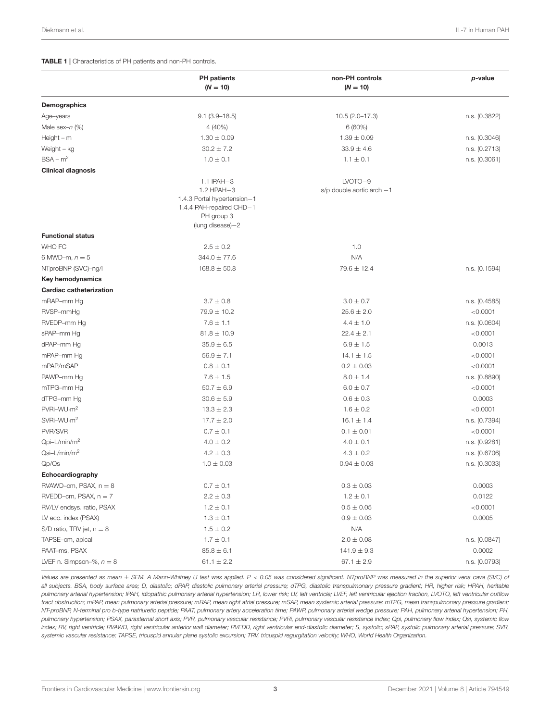#### TABLE 1 | Characteristics of PH patients and non-PH controls.

|                                | <b>PH</b> patients<br>$(N = 10)$                                                          | non-PH controls<br>$(N = 10)$            | p-value       |
|--------------------------------|-------------------------------------------------------------------------------------------|------------------------------------------|---------------|
| Demographics                   |                                                                                           |                                          |               |
| Age-years                      | $9.1(3.9 - 18.5)$                                                                         | $10.5(2.0-17.3)$                         | n.s. (0.3822) |
| Male sex- $n$ (%)              | $4(40\%)$                                                                                 | 6(60%)                                   |               |
| $Height - m$                   | $1.30 \pm 0.09$                                                                           | $1.39 \pm 0.09$                          | n.s. (0.3046) |
| Weight - kg                    | $30.2 \pm 7.2$                                                                            | $33.9$ $\pm$ $4.6$                       | n.s. (0.2713) |
| $BSA - m2$                     | $1.0 \pm 0.1$                                                                             | $1.1 \pm 0.1$                            | n.s. (0.3061) |
| <b>Clinical diagnosis</b>      |                                                                                           |                                          |               |
|                                | 1.1 IPAH-3<br>1.2 HPAH-3                                                                  | LVOTO-9<br>$s/p$ double aortic arch $-1$ |               |
|                                | 1.4.3 Portal hypertension-1<br>1.4.4 PAH-repaired CHD-1<br>PH group 3<br>(lung disease)-2 |                                          |               |
| <b>Functional status</b>       |                                                                                           |                                          |               |
| WHO FC                         | $2.5 \pm 0.2$                                                                             | 1.0                                      |               |
| 6 MWD-m, $n = 5$               | $344.0 \pm 77.6$                                                                          | N/A                                      |               |
| NTproBNP (SVC)-ng/l            | $168.8 \pm 50.8$                                                                          | $79.6 \pm 12.4$                          | n.s. (0.1594) |
| Key hemodynamics               |                                                                                           |                                          |               |
| <b>Cardiac catheterization</b> |                                                                                           |                                          |               |
| mRAP-mm Hg                     | $3.7 \pm 0.8$                                                                             | $3.0 \pm 0.7$                            | n.s. (0.4585) |
| RVSP-mmHg                      | $79.9 \pm 10.2$                                                                           | $25.6 \pm 2.0$                           | < 0.0001      |
| RVEDP-mm Hg                    | $7.6 \pm 1.1$                                                                             | $4.4 \pm 1.0$                            | n.s. (0.0604) |
| sPAP-mm Hq                     | $81.8 \pm 10.9$                                                                           | $22.4 \pm 2.1$                           | < 0.0001      |
| dPAP-mm Hg                     | $35.9 \pm 6.5$                                                                            | $6.9 \pm 1.5$                            | 0.0013        |
| mPAP-mm Hg                     | $56.9 \pm 7.1$                                                                            | $14.1 \pm 1.5$                           | < 0.0001      |
| mPAP/mSAP                      | $0.8 \pm 0.1$                                                                             | $0.2 \pm 0.03$                           | < 0.0001      |
| PAWP-mm Hg                     | $7.6 \pm 1.5$                                                                             | $8.0 \pm 1.4$                            | n.s. (0.8890) |
| mTPG-mm Hg                     | $50.7 \pm 6.9$                                                                            | $6.0 \pm 0.7$                            | < 0.0001      |
| dTPG-mm Hg                     | $30.6 \pm 5.9$                                                                            | $0.6 \pm 0.3$                            | 0.0003        |
| PVRi-WU·m <sup>2</sup>         | $13.3 \pm 2.3$                                                                            | $1.6 \pm 0.2$                            | < 0.0001      |
| SVRi-WU·m <sup>2</sup>         | $17.7 \pm 2.0$                                                                            | $16.1 \pm 1.4$                           | n.s. (0.7394) |
| PVR/SVR                        | $0.7 \pm 0.1$                                                                             | $0.1 \pm 0.01$                           | < 0.0001      |
| Qpi-L/min/m <sup>2</sup>       | $4.0 \pm 0.2$                                                                             | $4.0 \pm 0.1$                            | n.s. (0.9281) |
| Qsi-L/min/m <sup>2</sup>       | $4.2 \pm 0.3$                                                                             | $4.3 \pm 0.2$                            | n.s. (0.6706) |
| Qp/Qs                          | $1.0 \pm 0.03$                                                                            | $0.94 \pm 0.03$                          | n.s. (0.3033) |
| Echocardiography               |                                                                                           |                                          |               |
| RVAWD-cm, PSAX, n = 8          | $0.7\pm0.1$                                                                               | $0.3\pm0.03$                             | 0.0003        |
| $RVEDD$ -cm, PSAX, $n = 7$     | $2.2 \pm 0.3$                                                                             | $1.2 \pm 0.1$                            | 0.0122        |
| RV/LV endsys. ratio, PSAX      | $1.2 \pm 0.1$                                                                             | $0.5 \pm 0.05$                           | < 0.0001      |
| LV ecc. index (PSAX)           | $1.3 \pm 0.1$                                                                             | $0.9 \pm 0.03$                           | 0.0005        |
| S/D ratio, TRV jet, $n = 8$    | $1.5 \pm 0.2$                                                                             | N/A                                      |               |
| TAPSE-cm, apical               | $1.7 \pm 0.1$                                                                             | $2.0 \pm 0.08$                           | n.s. (0.0847) |
| PAAT-ms, PSAX                  | $85.8 \pm 6.1$                                                                            | $141.9 \pm 9.3$                          | 0.0002        |
| LVEF n. Simpson-%, $n = 8$     | $61.1 \pm 2.2$                                                                            | $67.1 \pm 2.9$                           | n.s. (0.0793) |

*Values are presented as mean* ± *SEM. A Mann-Whitney U test was applied. P* < *0.05 was considered significant. NTproBNP was measured in the superior vena cava (SVC) of all subjects. BSA, body surface area; D, diastolic; dPAP, diastolic pulmonary arterial pressure; dTPG, diastolic transpulmonary pressure gradient; HR, higher risk; HPAH, heritable pulmonary arterial hypertension; IPAH, idiopathic pulmonary arterial hypertension; LR, lower risk; LV, left ventricle; LVEF, left ventricular ejection fraction, LVOTO, left ventricular outflow tract obstruction; mPAP, mean pulmonary arterial pressure; mRAP, mean right atrial pressure; mSAP, mean systemic arterial pressure; mTPG, mean transpulmonary pressure gradient; NT-proBNP, N-terminal pro b-type natriuretic peptide; PAAT, pulmonary artery acceleration time; PAWP, pulmonary arterial wedge pressure; PAH, pulmonary arterial hypertension; PH, pulmonary hypertension; PSAX, parasternal short axis; PVR, pulmonary vascular resistance; PVRi, pulmonary vascular resistance index; Qpi, pulmonary flow index; Qsi, systemic flow index; RV, right ventricle; RVAWD, right ventricular anterior wall diameter; RVEDD, right ventricular end-diastolic diameter; S, systolic; sPAP, systolic pulmonary arterial pressure; SVR, systemic vascular resistance; TAPSE, tricuspid annular plane systolic excursion; TRV, tricuspid regurgitation velocity; WHO, World Health Organization.*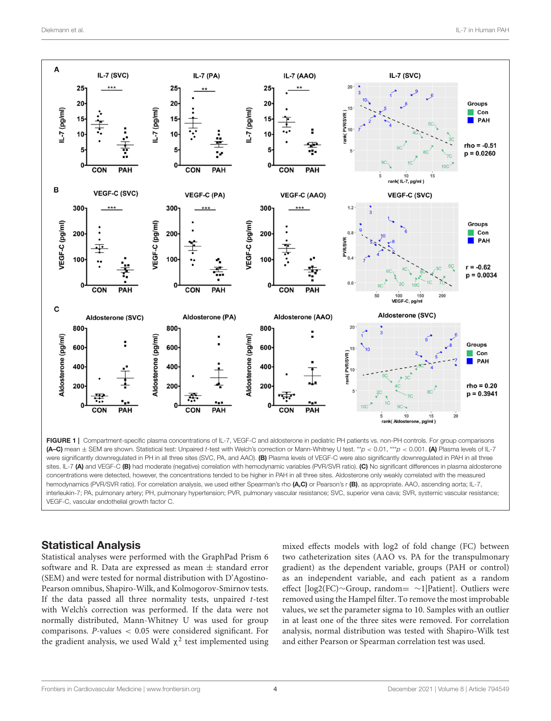

FIGURE 1 | Compartment-specific plasma concentrations of IL-7, VEGF-C and aldosterone in pediatric PH patients vs. non-PH controls. For group comparisons (A–C) mean ± SEM are shown. Statistical test: Unpaired *t*-test with Welch's correction or Mann-Whitney U test. \*\**p* < 0.01, \*\*\**p* < 0.001. (A) Plasma levels of IL-7 were significantly downregulated in PH in all three sites (SVC, PA, and AAO). (B) Plasma levels of VEGF-C were also significantly downregulated in PAH in all three sites. IL-7 (A) and VEGF-C (B) had moderate (negative) correlation with hemodynamic variables (PVR/SVR ratio). (C) No significant differences in plasma aldosterone concentrations were detected, however, the concentrations tended to be higher in PAH in all three sites. Aldosterone only weakly correlated with the measured hemodynamics (PVR/SVR ratio). For correlation analysis, we used either Spearman's rho (A,C) or Pearson's r (B), as appropriate. AAO, ascending aorta; IL-7, interleukin-7; PA, pulmonary artery; PH, pulmonary hypertension; PVR, pulmonary vascular resistance; SVC, superior vena cava; SVR, systemic vascular resistance; VEGF-C, vascular endothelial growth factor C.

### Statistical Analysis

Statistical analyses were performed with the GraphPad Prism 6 software and R. Data are expressed as mean ± standard error (SEM) and were tested for normal distribution with D'Agostino-Pearson omnibus, Shapiro-Wilk, and Kolmogorov-Smirnov tests. If the data passed all three normality tests, unpaired  $t$ -test with Welch's correction was performed. If the data were not normally distributed, Mann-Whitney U was used for group comparisons. P-values < 0.05 were considered significant. For the gradient analysis, we used Wald  $\chi^2$  test implemented using

mixed effects models with log2 of fold change (FC) between two catheterization sites (AAO vs. PA for the transpulmonary gradient) as the dependent variable, groups (PAH or control) as an independent variable, and each patient as a random effect [log2(FC)∼Group, random= ∼1|Patient]. Outliers were removed using the Hampel filter. To remove the most improbable values, we set the parameter sigma to 10. Samples with an outlier in at least one of the three sites were removed. For correlation analysis, normal distribution was tested with Shapiro-Wilk test and either Pearson or Spearman correlation test was used.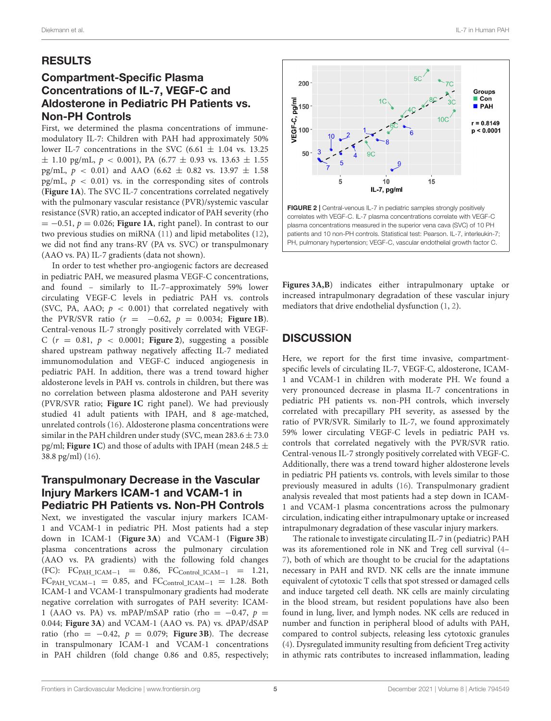# RESULTS

# Compartment-Specific Plasma Concentrations of IL-7, VEGF-C and Aldosterone in Pediatric PH Patients vs. Non-PH Controls

First, we determined the plasma concentrations of immunemodulatory IL-7: Children with PAH had approximately 50% lower IL-7 concentrations in the SVC (6.61  $\pm$  1.04 vs. 13.25  $\pm$  1.10 pg/mL,  $p < 0.001$ ), PA (6.77  $\pm$  0.93 vs. 13.63  $\pm$  1.55 pg/mL,  $p$  < 0.01) and AAO (6.62  $\pm$  0.82 vs. 13.97  $\pm$  1.58 pg/mL,  $p < 0.01$ ) vs. in the corresponding sites of controls (**Figure 1A**). The SVC IL-7 concentrations correlated negatively with the pulmonary vascular resistance (PVR)/systemic vascular resistance (SVR) ratio, an accepted indicator of PAH severity (rho  $= -0.51$ ,  $p = 0.026$ ; **Figure 1A**, right panel). In contrast to our two previous studies on miRNA (11) and lipid metabolites (12), we did not find any trans-RV (PA vs. SVC) or transpulmonary (AAO vs. PA) IL-7 gradients (data not shown).

In order to test whether pro-angiogenic factors are decreased in pediatric PAH, we measured plasma VEGF-C concentrations, and found – similarly to IL-7–approximately 59% lower circulating VEGF-C levels in pediatric PAH vs. controls (SVC, PA, AAO;  $p < 0.001$ ) that correlated negatively with the PVR/SVR ratio  $(r = -0.62, p = 0.0034;$  **Figure 1B**). Central-venous IL-7 strongly positively correlated with VEGF-C  $(r = 0.81, p < 0.0001;$  **Figure 2**), suggesting a possible shared upstream pathway negatively affecting IL-7 mediated immunomodulation and VEGF-C induced angiogenesis in pediatric PAH. In addition, there was a trend toward higher aldosterone levels in PAH vs. controls in children, but there was no correlation between plasma aldosterone and PAH severity (PVR/SVR ratio; **Figure 1C** right panel). We had previously studied 41 adult patients with IPAH, and 8 age-matched, unrelated controls (16). Aldosterone plasma concentrations were similar in the PAH children under study (SVC, mean  $283.6 \pm 73.0$ pg/ml; **Figure 1C**) and those of adults with IPAH (mean 248.5 ± 38.8 pg/ml) (16).

### Transpulmonary Decrease in the Vascular Injury Markers ICAM-1 and VCAM-1 in Pediatric PH Patients vs. Non-PH Controls

Next, we investigated the vascular injury markers ICAM-1 and VCAM-1 in pediatric PH. Most patients had a step down in ICAM-1 (**Figure 3A**) and VCAM-1 (**Figure 3B**) plasma concentrations across the pulmonary circulation (AAO vs. PA gradients) with the following fold changes  $(FC): FC<sub>PAH_ICAM-1</sub> = 0.86, FC<sub>Control_ICAM-1</sub> = 1.21,$  $FC<sub>PAH_VCAM-1</sub> = 0.85$ , and  $FC<sub>Control ICAM-1</sub> = 1.28$ . Both ICAM-1 and VCAM-1 transpulmonary gradients had moderate negative correlation with surrogates of PAH severity: ICAM-1 (AAO vs. PA) vs. mPAP/mSAP ratio (rho =  $-0.47$ ,  $p =$ 0.044; **Figure 3A**) and VCAM-1 (AAO vs. PA) vs. dPAP/dSAP ratio (rho =  $-0.42$ ,  $p = 0.079$ ; **Figure 3B**). The decrease in transpulmonary ICAM-1 and VCAM-1 concentrations in PAH children (fold change 0.86 and 0.85, respectively;



**Figures 3A,B**) indicates either intrapulmonary uptake or increased intrapulmonary degradation of these vascular injury mediators that drive endothelial dysfunction (1, 2).

# **DISCUSSION**

Here, we report for the first time invasive, compartmentspecific levels of circulating IL-7, VEGF-C, aldosterone, ICAM-1 and VCAM-1 in children with moderate PH. We found a very pronounced decrease in plasma IL-7 concentrations in pediatric PH patients vs. non-PH controls, which inversely correlated with precapillary PH severity, as assessed by the ratio of PVR/SVR. Similarly to IL-7, we found approximately 59% lower circulating VEGF-C levels in pediatric PAH vs. controls that correlated negatively with the PVR/SVR ratio. Central-venous IL-7 strongly positively correlated with VEGF-C. Additionally, there was a trend toward higher aldosterone levels in pediatric PH patients vs. controls, with levels similar to those previously measured in adults (16). Transpulmonary gradient analysis revealed that most patients had a step down in ICAM-1 and VCAM-1 plasma concentrations across the pulmonary circulation, indicating either intrapulmonary uptake or increased intrapulmonary degradation of these vascular injury markers.

The rationale to investigate circulating IL-7 in (pediatric) PAH was its aforementioned role in NK and Treg cell survival (4– 7), both of which are thought to be crucial for the adaptations necessary in PAH and RVD. NK cells are the innate immune equivalent of cytotoxic T cells that spot stressed or damaged cells and induce targeted cell death. NK cells are mainly circulating in the blood stream, but resident populations have also been found in lung, liver, and lymph nodes. NK cells are reduced in number and function in peripheral blood of adults with PAH, compared to control subjects, releasing less cytotoxic granules (4). Dysregulated immunity resulting from deficient Treg activity in athymic rats contributes to increased inflammation, leading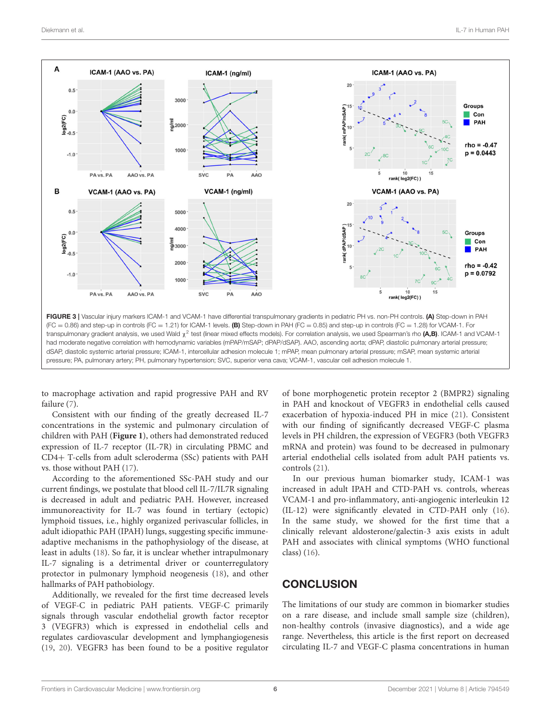

to macrophage activation and rapid progressive PAH and RV failure (7).

Consistent with our finding of the greatly decreased IL-7 concentrations in the systemic and pulmonary circulation of children with PAH (**Figure 1**), others had demonstrated reduced expression of IL-7 receptor (IL-7R) in circulating PBMC and CD4+ T-cells from adult scleroderma (SSc) patients with PAH vs. those without PAH (17).

According to the aforementioned SSc-PAH study and our current findings, we postulate that blood cell IL-7/IL7R signaling is decreased in adult and pediatric PAH. However, increased immunoreactivity for IL-7 was found in tertiary (ectopic) lymphoid tissues, i.e., highly organized perivascular follicles, in adult idiopathic PAH (IPAH) lungs, suggesting specific immuneadaptive mechanisms in the pathophysiology of the disease, at least in adults (18). So far, it is unclear whether intrapulmonary IL-7 signaling is a detrimental driver or counterregulatory protector in pulmonary lymphoid neogenesis (18), and other hallmarks of PAH pathobiology.

Additionally, we revealed for the first time decreased levels of VEGF-C in pediatric PAH patients. VEGF-C primarily signals through vascular endothelial growth factor receptor 3 (VEGFR3) which is expressed in endothelial cells and regulates cardiovascular development and lymphangiogenesis (19, 20). VEGFR3 has been found to be a positive regulator of bone morphogenetic protein receptor 2 (BMPR2) signaling in PAH and knockout of VEGFR3 in endothelial cells caused exacerbation of hypoxia-induced PH in mice (21). Consistent with our finding of significantly decreased VEGF-C plasma levels in PH children, the expression of VEGFR3 (both VEGFR3 mRNA and protein) was found to be decreased in pulmonary arterial endothelial cells isolated from adult PAH patients vs. controls (21).

In our previous human biomarker study, ICAM-1 was increased in adult IPAH and CTD-PAH vs. controls, whereas VCAM-1 and pro-inflammatory, anti-angiogenic interleukin 12 (IL-12) were significantly elevated in CTD-PAH only (16). In the same study, we showed for the first time that a clinically relevant aldosterone/galectin-3 axis exists in adult PAH and associates with clinical symptoms (WHO functional class) (16).

# **CONCLUSION**

The limitations of our study are common in biomarker studies on a rare disease, and include small sample size (children), non-healthy controls (invasive diagnostics), and a wide age range. Nevertheless, this article is the first report on decreased circulating IL-7 and VEGF-C plasma concentrations in human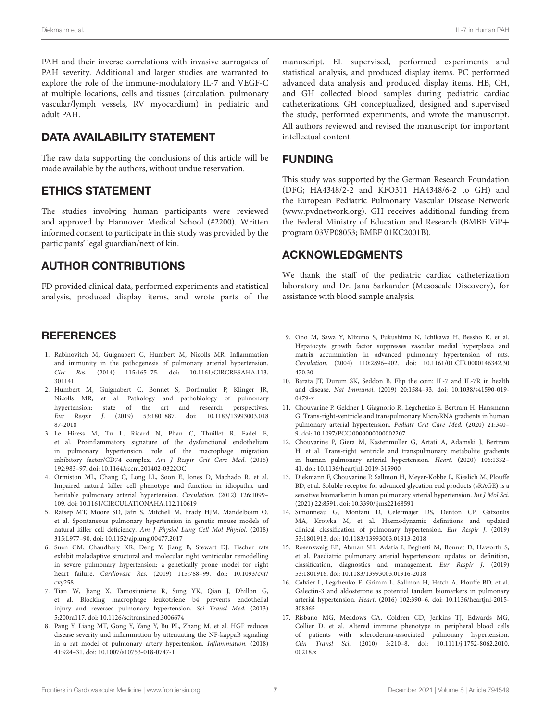PAH and their inverse correlations with invasive surrogates of PAH severity. Additional and larger studies are warranted to explore the role of the immune-modulatory IL-7 and VEGF-C at multiple locations, cells and tissues (circulation, pulmonary vascular/lymph vessels, RV myocardium) in pediatric and adult PAH.

# DATA AVAILABILITY STATEMENT

The raw data supporting the conclusions of this article will be made available by the authors, without undue reservation.

### ETHICS STATEMENT

The studies involving human participants were reviewed and approved by Hannover Medical School (#2200). Written informed consent to participate in this study was provided by the participants' legal guardian/next of kin.

# AUTHOR CONTRIBUTIONS

FD provided clinical data, performed experiments and statistical analysis, produced display items, and wrote parts of the

### **REFERENCES**

- 1. Rabinovitch M, Guignabert C, Humbert M, Nicolls MR. Inflammation and immunity in the pathogenesis of pulmonary arterial hypertension. Circ Res. (2014) 115:165–75. doi: 10.1161/CIRCRESAHA.113. 301141
- 2. Humbert M, Guignabert C, Bonnet S, Dorfmuller P, Klinger JR, Nicolls MR, et al. Pathology and pathobiology of pulmonary hypertension: state of the art and research perspectives. Eur Respir J. (2019) 53:1801887. doi: 10.1183/13993003.018 87-2018
- 3. Le Hiress M, Tu L, Ricard N, Phan C, Thuillet R, Fadel E, et al. Proinflammatory signature of the dysfunctional endothelium in pulmonary hypertension. role of the macrophage migration inhibitory factor/CD74 complex. Am J Respir Crit Care Med. (2015) 192:983–97. doi: 10.1164/rccm.201402-0322OC
- 4. Ormiston ML, Chang C, Long LL, Soon E, Jones D, Machado R. et al. Impaired natural killer cell phenotype and function in idiopathic and heritable pulmonary arterial hypertension. Circulation. (2012) 126:1099– 109. doi: 10.1161/CIRCULATIONAHA.112.110619
- 5. Ratsep MT, Moore SD, Jafri S, Mitchell M, Brady HJM, Mandelboim O. et al. Spontaneous pulmonary hypertension in genetic mouse models of natural killer cell deficiency. Am J Physiol Lung Cell Mol Physiol. (2018) 315:L977–90. doi: 10.1152/ajplung.00477.2017
- 6. Suen CM, Chaudhary KR, Deng Y, Jiang B, Stewart DJ. Fischer rats exhibit maladaptive structural and molecular right ventricular remodelling in severe pulmonary hypertension: a genetically prone model for right heart failure. Cardiovasc Res. (2019) 115:788–99. doi: 10.1093/cvr/ cvy258
- 7. Tian W, Jiang X, Tamosiuniene R, Sung YK, Qian J, Dhillon G, et al. Blocking macrophage leukotriene b4 prevents endothelial injury and reverses pulmonary hypertension. Sci Transl Med. (2013) 5:200ra117. doi: 10.1126/scitranslmed.3006674
- 8. Pang Y, Liang MT, Gong Y, Yang Y, Bu PL, Zhang M. et al. HGF reduces disease severity and inflammation by attenuating the NF-kappaB signaling in a rat model of pulmonary artery hypertension. Inflammation. (2018) 41:924–31. doi: 10.1007/s10753-018-0747-1

manuscript. EL supervised, performed experiments and statistical analysis, and produced display items. PC performed advanced data analysis and produced display items. HB, CH, and GH collected blood samples during pediatric cardiac catheterizations. GH conceptualized, designed and supervised the study, performed experiments, and wrote the manuscript. All authors reviewed and revised the manuscript for important intellectual content.

### **FUNDING**

This study was supported by the German Research Foundation (DFG; HA4348/2-2 and KFO311 HA4348/6-2 to GH) and the European Pediatric Pulmonary Vascular Disease Network (www.pvdnetwork.org). GH receives additional funding from the Federal Ministry of Education and Research (BMBF ViP+ program 03VP08053; BMBF 01KC2001B).

# ACKNOWLEDGMENTS

We thank the staff of the pediatric cardiac catheterization laboratory and Dr. Jana Sarkander (Mesoscale Discovery), for assistance with blood sample analysis.

- 9. Ono M, Sawa Y, Mizuno S, Fukushima N, Ichikawa H, Bessho K. et al. Hepatocyte growth factor suppresses vascular medial hyperplasia and matrix accumulation in advanced pulmonary hypertension of rats. Circulation. (2004) 110:2896–902. doi: 10.1161/01.CIR.0000146342.30 470.30
- 10. Barata JT, Durum SK, Seddon B. Flip the coin: IL-7 and IL-7R in health and disease. Nat Immunol. (2019) 20:1584–93. doi: 10.1038/s41590-019- 0479-x
- 11. Chouvarine P, Geldner J, Giagnorio R, Legchenko E, Bertram H, Hansmann G. Trans-right-ventricle and transpulmonary MicroRNA gradients in human pulmonary arterial hypertension. Pediatr Crit Care Med. (2020) 21:340– 9. doi: 10.1097/PCC.0000000000002207
- 12. Chouvarine P, Giera M, Kastenmuller G, Artati A, Adamski J, Bertram H. et al. Trans-right ventricle and transpulmonary metabolite gradients in human pulmonary arterial hypertension. Heart. (2020) 106:1332– 41. doi: 10.1136/heartjnl-2019-315900
- 13. Diekmann F, Chouvarine P, Sallmon H, Meyer-Kobbe L, Kieslich M, Plouffe BD, et al. Soluble receptor for advanced glycation end products (sRAGE) is a sensitive biomarker in human pulmonary arterial hypertension. Int J Mol Sci. (2021) 22:8591. doi: 10.3390/ijms22168591
- 14. Simonneau G, Montani D, Celermajer DS, Denton CP, Gatzoulis MA, Krowka M, et al. Haemodynamic definitions and updated clinical classification of pulmonary hypertension. Eur Respir J. (2019) 53:1801913. doi: 10.1183/13993003.01913-2018
- 15. Rosenzweig EB, Abman SH, Adatia I, Beghetti M, Bonnet D, Haworth S, et al. Paediatric pulmonary arterial hypertension: updates on definition, classification, diagnostics and management. Eur Respir J. (2019) 53:1801916. doi: 10.1183/13993003.01916-2018
- 16. Calvier L, Legchenko E, Grimm L, Sallmon H, Hatch A, Plouffe BD, et al. Galectin-3 and aldosterone as potential tandem biomarkers in pulmonary arterial hypertension. Heart. (2016) 102:390–6. doi: 10.1136/heartjnl-2015- 308365
- 17. Risbano MG, Meadows CA, Coldren CD, Jenkins TJ, Edwards MG, Collier D. et al. Altered immune phenotype in peripheral blood cells of patients with scleroderma-associated pulmonary hypertension. Clin Transl Sci. (2010) 3:210–8. doi: 10.1111/j.1752-8062.2010. 00218.x